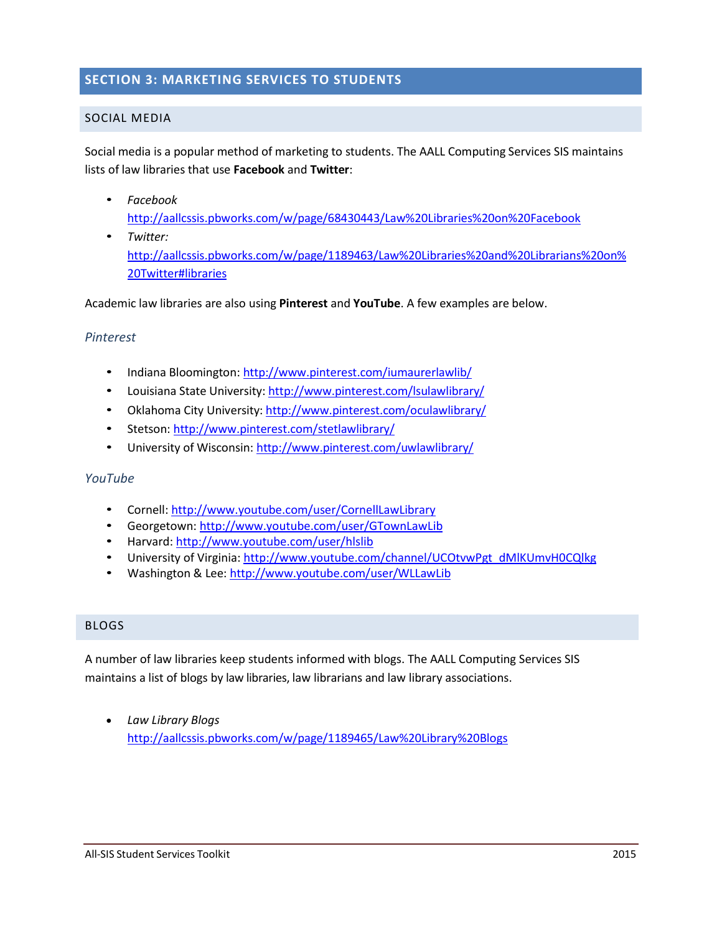# **SECTION 3: MARKETING SERVICES TO STUDENTS**

# SOCIAL MEDIA

Social media is a popular method of marketing to students. The AALL Computing Services SIS maintains lists of law libraries that use **Facebook** and **Twitter**:

- *Facebook* <http://aallcssis.pbworks.com/w/page/68430443/Law%20Libraries%20on%20Facebook>
- *Twitter:*  [http://aallcssis.pbworks.com/w/page/1189463/Law%20Libraries%20and%20Librarians%20on%](http://aallcssis.pbworks.com/w/page/1189463/Law%20Libraries%20and%20Librarians%20on%20Twitter%23libraries) [20Twitter#libraries](http://aallcssis.pbworks.com/w/page/1189463/Law%20Libraries%20and%20Librarians%20on%20Twitter%23libraries)

Academic law libraries are also using **Pinterest** and **YouTube**. A few examples are below.

# *Pinterest*

- Indiana Bloomington: <http://www.pinterest.com/iumaurerlawlib/>
- Louisiana State University: <http://www.pinterest.com/lsulawlibrary/>
- Oklahoma City University: <http://www.pinterest.com/oculawlibrary/>
- Stetson: <http://www.pinterest.com/stetlawlibrary/>
- University of Wisconsin: <http://www.pinterest.com/uwlawlibrary/>

## *YouTube*

- Cornell:<http://www.youtube.com/user/CornellLawLibrary>
- Georgetown:<http://www.youtube.com/user/GTownLawLib>
- Harvard:<http://www.youtube.com/user/hlslib>
- University of Virginia[: http://www.youtube.com/channel/UCOtvwPgt\\_dMlKUmvH0CQlkg](http://www.youtube.com/channel/UCOtvwPgt_dMlKUmvH0CQlkg)
- Washington & Lee: <http://www.youtube.com/user/WLLawLib>

## BLOGS

A number of law libraries keep students informed with blogs. The AALL Computing Services SIS maintains a list of blogs by law libraries, law librarians and law library associations.

 *Law Library Blogs* <http://aallcssis.pbworks.com/w/page/1189465/Law%20Library%20Blogs>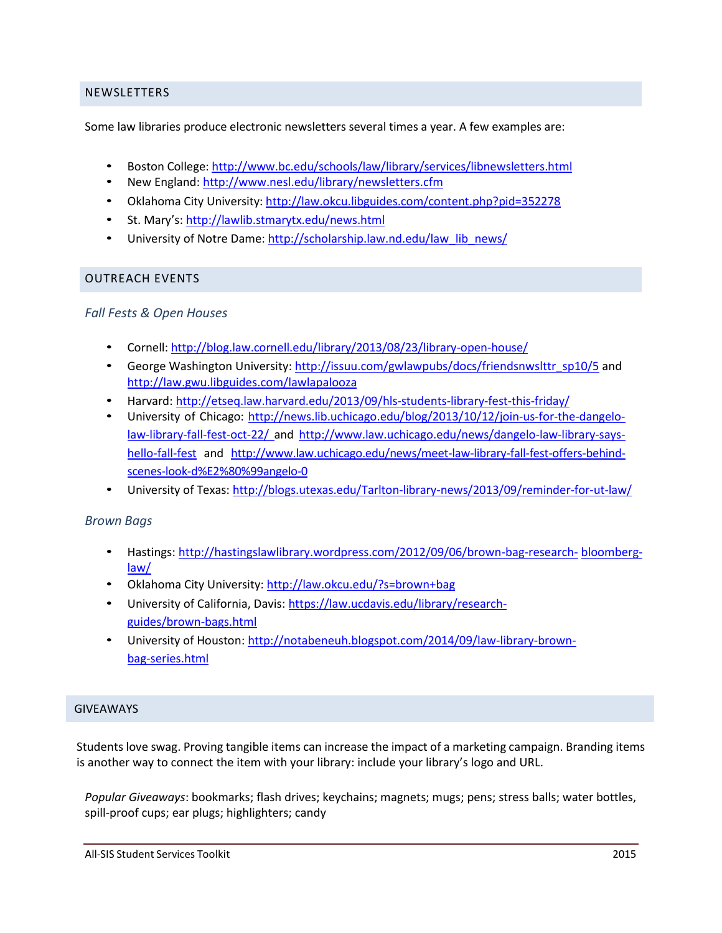# NEWSLETTERS

Some law libraries produce electronic newsletters several times a year. A few examples are:

- Boston College: <http://www.bc.edu/schools/law/library/services/libnewsletters.html>
- New England:<http://www.nesl.edu/library/newsletters.cfm>
- Oklahoma City University: <http://law.okcu.libguides.com/content.php?pid=352278>
- St. Mary's: <http://lawlib.stmarytx.edu/news.html>
- University of Notre Dame: [http://scholarship.law.nd.edu/law\\_lib\\_news/](http://scholarship.law.nd.edu/law_lib_news/)

# OUTREACH EVENTS

# *Fall Fests & Open Houses*

- Cornell: <http://blog.law.cornell.edu/library/2013/08/23/library-open-house/>
- George Washington University: [http://issuu.com/gwlawpubs/docs/friendsnwslttr\\_sp10/5](http://issuu.com/gwlawpubs/docs/friendsnwslttr_sp10/5) and <http://law.gwu.libguides.com/lawlapalooza>
- Harvard: <http://etseq.law.harvard.edu/2013/09/hls-students-library-fest-this-friday/>
- University of Chicago: [http://news.lib.uchicago.edu/blog/2013/10/12/join-us-for-the-dangelo](http://news.lib.uchicago.edu/blog/2013/10/12/join-us-for-the-dangelo-law-library-fall-fest-oct-22/)[law-library-fall-fest-oct-22/](http://news.lib.uchicago.edu/blog/2013/10/12/join-us-for-the-dangelo-law-library-fall-fest-oct-22/) and [http://www.law.uchicago.edu/news/dangelo-law-library-says](http://www.law.uchicago.edu/news/dangelo-law-library-says-hello-fall-fest)[hello-fall-fest](http://www.law.uchicago.edu/news/dangelo-law-library-says-hello-fall-fest) and http://www.law.uchicago.edu/news/meet-law-library-fall-fest-offers-behindscenes-look-d%E2%80%99angelo-0
- University of Texas: <http://blogs.utexas.edu/Tarlton-library-news/2013/09/reminder-for-ut-law/>

## *Brown Bags*

- Hastings: [http://hastingslawlibrary.wordpress.com/2012/09/06/brown-bag-research-](http://hastingslawlibrary.wordpress.com/2012/09/06/brown-bag-research-bloomberg-law/) [bloomberg](http://hastingslawlibrary.wordpress.com/2012/09/06/brown-bag-research-bloomberg-law/)[law/](http://hastingslawlibrary.wordpress.com/2012/09/06/brown-bag-research-bloomberg-law/)
- Oklahoma City University: [http://law.okcu.edu/?s=brown+bag](http://law.okcu.edu/?s=brown%2Bbag)
- University of California, Davis[: https://law.ucdavis.edu/library/research](https://law.ucdavis.edu/library/research-guides/brown-bags.html)[guides/brown-bags.html](https://law.ucdavis.edu/library/research-guides/brown-bags.html)
- University of Houston: [http://notabeneuh.blogspot.com/2014/09/law-library-brown](http://notabeneuh.blogspot.com/2014/09/law-library-brown-bag-series.html)[bag-series.html](http://notabeneuh.blogspot.com/2014/09/law-library-brown-bag-series.html)

## GIVEAWAYS

Students love swag. Proving tangible items can increase the impact of a marketing campaign. Branding items is another way to connect the item with your library: include your library's logo and URL.

*Popular Giveaways*: bookmarks; flash drives; keychains; magnets; mugs; pens; stress balls; water bottles, spill-proof cups; ear plugs; highlighters; candy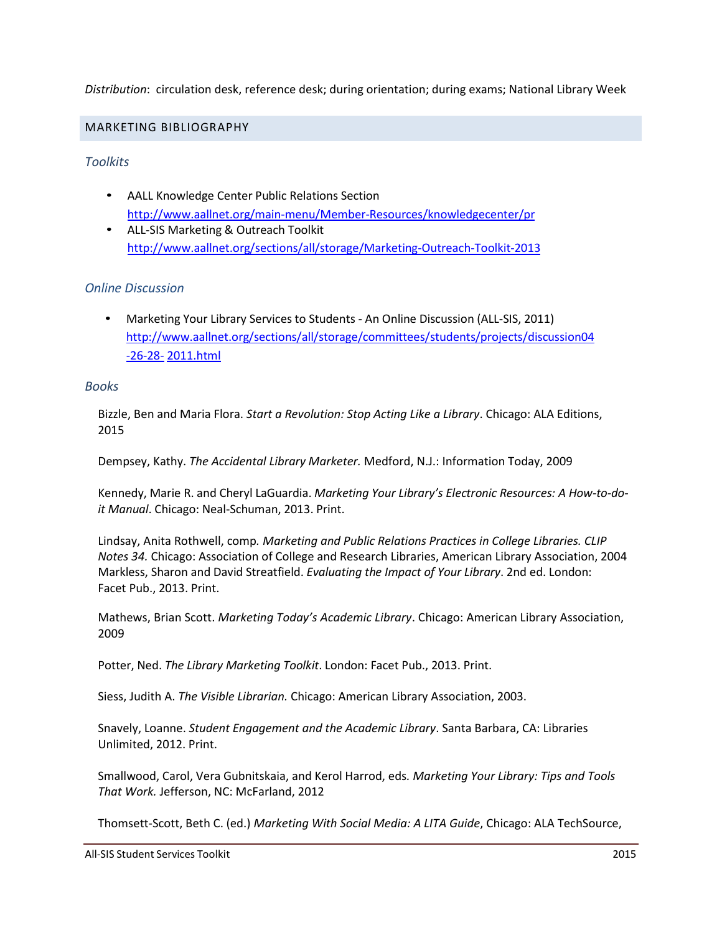# *Distribution*: circulation desk, reference desk; during orientation; during exams; National Library Week

#### MARKETING BIBLIOGRAPHY

## *Toolkits*

- AALL Knowledge Center Public Relations Section <http://www.aallnet.org/main-menu/Member-Resources/knowledgecenter/pr>
- ALL-SIS Marketing & Outreach Toolkit <http://www.aallnet.org/sections/all/storage/Marketing-Outreach-Toolkit-2013>

## *Online Discussion*

• Marketing Your Library Services to Students - An Online Discussion (ALL-SIS, 2011) [http://www.aallnet.org/sections/all/storage/committees/students/projects/discussion04](http://www.aallnet.org/sections/all/storage/committees/students/projects/discussion04-26-28-2011.html) [-26-28-](http://www.aallnet.org/sections/all/storage/committees/students/projects/discussion04-26-28-2011.html) [2011.html](http://www.aallnet.org/sections/all/storage/committees/students/projects/discussion04-26-28-2011.html)

#### *Books*

Bizzle, Ben and Maria Flora. *Start a Revolution: Stop Acting Like a Library*. Chicago: ALA Editions, 2015

Dempsey, Kathy. *The Accidental Library Marketer.* Medford, N.J.: Information Today, 2009

Kennedy, Marie R. and Cheryl LaGuardia. *Marketing Your Library's Electronic Resources: A How-to-doit Manual*. Chicago: Neal-Schuman, 2013. Print.

Lindsay, Anita Rothwell, comp*. Marketing and Public Relations Practices in College Libraries. CLIP Notes 34.* Chicago: Association of College and Research Libraries, American Library Association, 2004 Markless, Sharon and David Streatfield. *Evaluating the Impact of Your Library*. 2nd ed. London: Facet Pub., 2013. Print.

Mathews, Brian Scott. *Marketing Today's Academic Library*. Chicago: American Library Association, 2009

Potter, Ned. *The Library Marketing Toolkit*. London: Facet Pub., 2013. Print.

Siess, Judith A. *The Visible Librarian.* Chicago: American Library Association, 2003.

Snavely, Loanne. *Student Engagement and the Academic Library*. Santa Barbara, CA: Libraries Unlimited, 2012. Print.

Smallwood, Carol, Vera Gubnitskaia, and Kerol Harrod, eds*. Marketing Your Library: Tips and Tools That Work.* Jefferson, NC: McFarland, 2012

Thomsett-Scott, Beth C. (ed.) *Marketing With Social Media: A LITA Guide*, Chicago: ALA TechSource,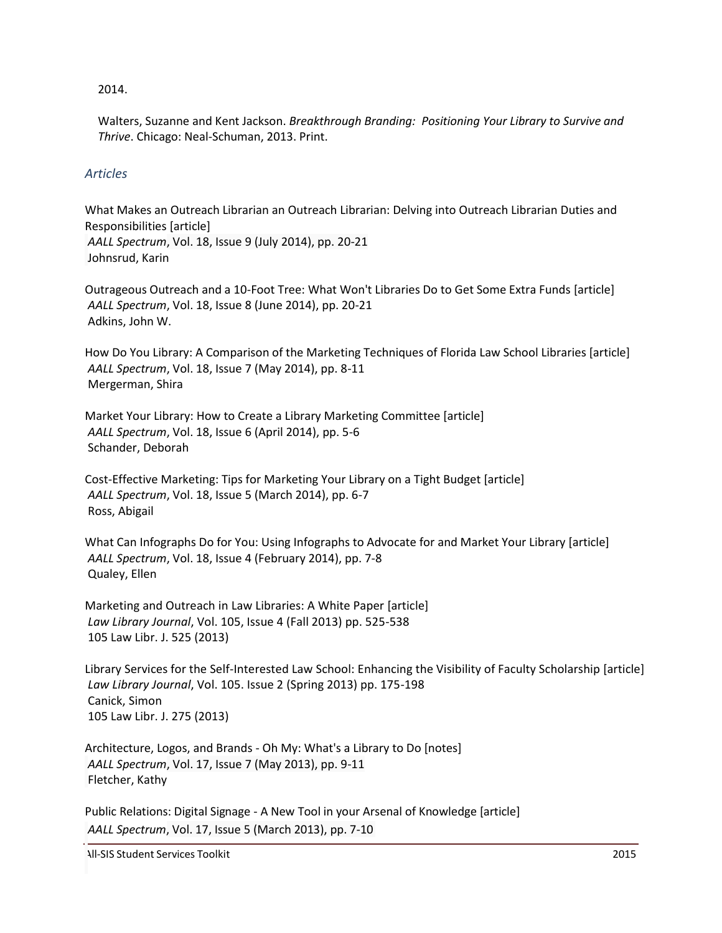## 2014.

Walters, Suzanne and Kent Jackson. *Breakthrough Branding: Positioning Your Library to Survive and Thrive*. Chicago: Neal-Schuman, 2013. Print.

# *Articles*

What Makes an Outreach Librarian an Outreach Librarian: Delving into Outreach Librarian Duties and Responsibilities [article] *AALL Spectrum*, Vol. 18, Issue 9 (July 2014), pp. 20-21 [Johnsrud, Karin](http://www.heinonline.org/HOL/AuthorProfile?action=edit&search_name=Johnsrud,%20Karin&collection=journals)

Outrageous Outreach and a 10-Foot Tree: What Won't Libraries Do to Get Some Extra Funds [article] *AALL Spectrum*, Vol. 18, Issue 8 (June 2014), pp. 20-21 Adkins, John W.

How Do You Library: A Comparison of the Marketing Techniques of Florida Law School Libraries [article] *AALL Spectrum*, Vol. 18, Issue 7 (May 2014), pp. 8-11 Mergerman, Shira

Market Your Library: How to Create a Library Marketing Committee [article] *AALL Spectrum*, Vol. 18, Issue 6 (April 2014), pp. 5-6 Schander, Deborah

Cost-Effective Marketing: Tips for Marketing Your Library on a Tight Budget [article] *AALL Spectrum*, Vol. 18, Issue 5 (March 2014), pp. 6-7 Ross, Abigail

What Can Infographs Do for You: Using Infographs to Advocate for and Market Your Library [article] *AALL Spectrum*, Vol. 18, Issue 4 (February 2014), pp. 7-8 Qualey, Ellen

Marketing and Outreach in Law Libraries: A White Paper [article] *Law Library Journal*, Vol. 105, Issue 4 (Fall 2013) pp. 525-538 105 Law Libr. J. 525 (2013)

Library Services for the Self-Interested Law School: Enhancing the Visibility of Faculty Scholarship [article] *Law Library Journal*, Vol. 105. Issue 2 (Spring 2013) pp. 175-198 Canick, Simon 105 Law Libr. J. 275 (2013)

Architecture, Logos, and Brands - Oh My: What's a Library to Do [notes] *AALL Spectrum*, Vol. 17, Issue 7 (May 2013), pp. 9-11 Fletcher, Kathy

Public Relations: Digital Signage - A New Tool in your Arsenal of Knowledge [article] *AALL Spectrum*, Vol. 17, Issue 5 (March 2013), pp. 7-10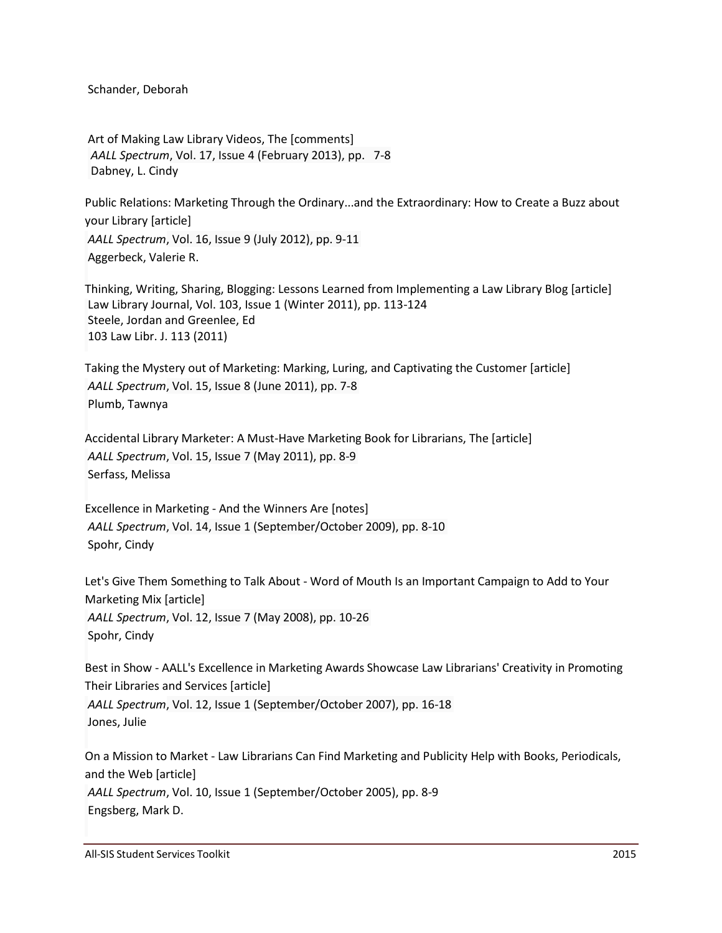Schander, Deborah

Art of Making Law Library Videos, The [comments] *AALL Spectrum*, Vol. 17, Issue 4 (February 2013), pp. 7-8 Dabney, L. Cindy

Public Relations: Marketing Through the Ordinary...and the Extraordinary: How to Create a Buzz about your Library [article] *AALL Spectrum*, Vol. 16, Issue 9 (July 2012), pp. 9-11 Aggerbeck, Valerie R.

Thinking, Writing, Sharing, Blogging: Lessons Learned from Implementing a Law Library Blog [article] Law Library Journal, Vol. 103, Issue 1 (Winter 2011), pp. 113-124 Steele, Jordan and Greenlee, Ed 103 Law Libr. J. 113 (2011)

Taking the Mystery out of Marketing: Marking, Luring, and Captivating the Customer [article] *AALL Spectrum*, Vol. 15, Issue 8 (June 2011), pp. 7-8 Plumb, Tawnya

Accidental Library Marketer: A Must-Have Marketing Book for Librarians, The [article] *AALL Spectrum*, Vol. 15, Issue 7 (May 2011), pp. 8-9 Serfass, Melissa

Excellence in Marketing - And the Winners Are [notes] *AALL Spectrum*, Vol. 14, Issue 1 (September/October 2009), pp. 8-10 Spohr, Cindy

Let's Give Them Something to Talk About - Word of Mouth Is an Important Campaign to Add to Your Marketing Mix [article] *AALL Spectrum*, Vol. 12, Issue 7 (May 2008), pp. 10-26

Spohr, Cindy

Best in Show - AALL's Excellence in Marketing Awards Showcase Law Librarians' Creativity in Promoting Their Libraries and Services [article]

*AALL Spectrum*, Vol. 12, Issue 1 (September/October 2007), pp. 16-18 Jones, Julie

On a Mission to Market - Law Librarians Can Find Marketing and Publicity Help with Books, Periodicals, and the Web [article] *AALL Spectrum*, Vol. 10, Issue 1 (September/October 2005), pp. 8-9 Engsberg, Mark D.